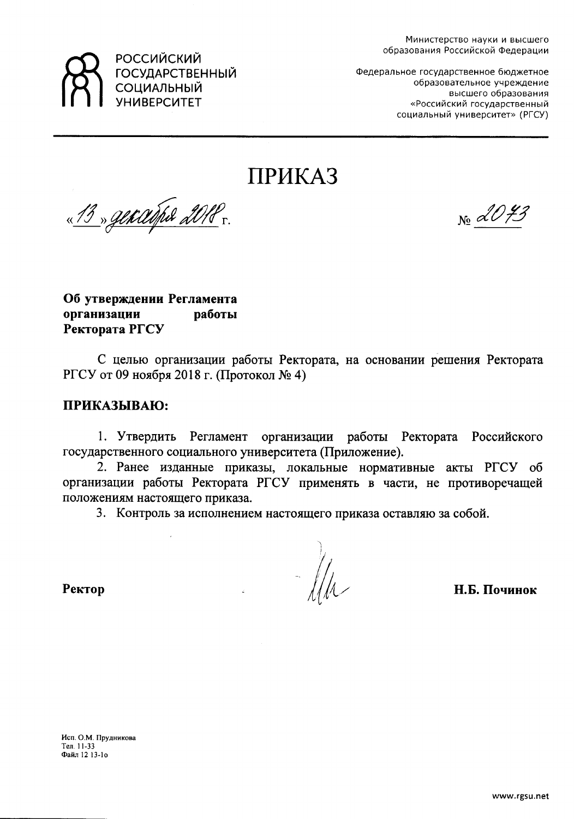

**РОССИЙСКИЙ** ГОСУДАРСТВЕННЫЙ СОЦИАЛЬНЫЙ **УНИВЕРСИТЕТ** 

Федеральное государственное бюджетное образовательное учреждение высшего образования «Российский государственный социальный университет» (РГСУ)

**ПРИКАЗ** 

<u>«13» generativa 2018.</u>

 $N_2$  dV  $\neq$ 

Об утверждении Регламента организации работы Ректората РГСУ

С целью организации работы Ректората, на основании решения Ректората РГСУ от 09 ноября 2018 г. (Протокол № 4)

# ПРИКАЗЫВАЮ:

1. Утвердить Регламент организации работы Ректората Российского государственного социального университета (Приложение).

2. Ранее изданные приказы, локальные нормативные акты РГСУ об организации работы Ректората РГСУ применять в части, не противоречащей положениям настоящего приказа.

3. Контроль за исполнением настоящего приказа оставляю за собой.

Н.Б. Починок

Ректор

Исп. О.М. Прудникова Тел. 11-33 Файл 12 13-10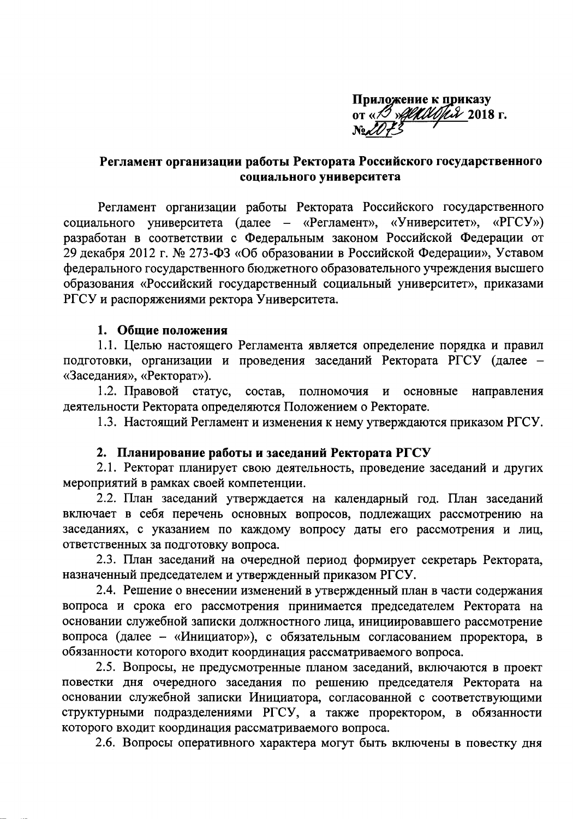Приложение к приказу от «В *«Дереворя 2018 г.* 

# Регламент организации работы Ректората Российского государственного социального университета

Регламент организации работы Ректората Российского государственного социального университета (далее - «Регламент», «Университет», «РГСУ») разработан в соответствии с Федеральным законом Российской Федерации от 29 декабря 2012 г. № 273-ФЗ «Об образовании в Российской Федерации», Уставом федерального государственного бюджетного образовательного учреждения высшего образования «Российский государственный социальный университет», приказами РГСУ и распоряжениями ректора Университета.

### 1. Общие положения

1.1. Целью настоящего Регламента является определение порядка и правил подготовки, организации и проведения заседаний Ректората РГСУ (далее -«Заседания», «Ректорат»).

1.2. Правовой статус, состав, полномочия и основные направления деятельности Ректората определяются Положением о Ректорате.

1.3. Настоящий Регламент и изменения к нему утверждаются приказом РГСУ.

### 2. Планирование работы и заседаний Ректората РГСУ

2.1. Ректорат планирует свою деятельность, проведение заседаний и других мероприятий в рамках своей компетенции.

2.2. План заседаний утверждается на календарный год. План заседаний включает в себя перечень основных вопросов, подлежащих рассмотрению на заседаниях, с указанием по каждому вопросу даты его рассмотрения и лиц, ответственных за подготовку вопроса.

2.3. План заседаний на очередной период формирует секретарь Ректората, назначенный председателем и утвержденный приказом РГСУ.

2.4. Решение о внесении изменений в утвержденный план в части содержания вопроса и срока его рассмотрения принимается председателем Ректората на основании служебной записки должностного лица, инициировавшего рассмотрение вопроса (далее - «Инициатор»), с обязательным согласованием проректора, в обязанности которого входит координация рассматриваемого вопроса.

2.5. Вопросы, не предусмотренные планом заседаний, включаются в проект повестки дня очередного заседания по решению председателя Ректората на основании служебной записки Инициатора, согласованной с соответствующими структурными подразделениями РГСУ, а также проректором, в обязанности которого входит координация рассматриваемого вопроса.

2.6. Вопросы оперативного характера могут быть включены в повестку дня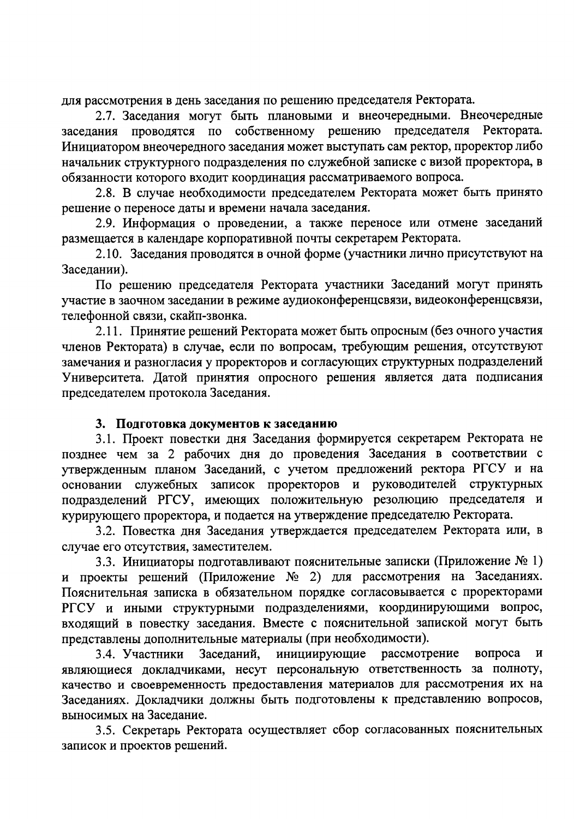для рассмотрения в день заседания по решению председателя Ректората.

2.7. Заседания могут быть плановыми и внеочередными. Внеочередные заседания проводятся по собственному решению председателя Ректората. Инициатором внеочередного заседания может выступать сам ректор, проректор либо начальник структурного подразделения по служебной записке с визой проректора, в обязанности которого входит координация рассматриваемого вопроса.

2.8. В случае необходимости председателем Ректората может быть принято решение о переносе даты и времени начала заседания.

2.9. Информация о проведении, а также переносе или отмене заседаний размещается в календаре корпоративной почты секретарем Ректората.

2.10. Заседания проводятся в очной форме (участники лично присутствуют на Заседании).

По решению председателя Ректората участники Заседаний могут принять участие в заочном заседании в режиме аудиоконференцсвязи, видеоконференцсвязи, телефонной связи, скайп-звонка.

2.11. Принятие решений Ректората может быть опросным (без очного участия членов Ректората) в случае, если по вопросам, требующим решения, отсутствуют замечания и разногласия у проректоров и согласующих структурных подразделений Университета. Датой принятия опросного решения является дата подписания председателем протокола Заседания.

### 3. Подготовка документов к заседанию

3.1. Проект повестки дня Заседания формируется секретарем Ректората не позднее чем за 2 рабочих дня до проведения Заседания в соответствии с утвержденным планом Заседаний, с учетом предложений ректора РГСУ и на основании служебных записок проректоров и руководителей структурных курирующего проректора, и подается на утверждение председателю Ректората.

3.2. Повестка дня Заседания утверждается председателем Ректората или, в случае его отсутствия, заместителем.

3.3. Инициаторы подготавливают пояснительные записки (Приложение № 1) и проекты решений (Приложение № 2) для рассмотрения на Заседаниях. Пояснительная записка в обязательном порядке согласовывается с проректорами РГСУ и иными структурными подразделениями, координирующими вопрос, входящий в повестку заседания. Вместе с пояснительной запиской могут быть представлены дополнительные материалы (при необходимости).

инициирующие рассмотрение Заседаний, вопроса 3.4. Участники  $\mathbf{M}$ являющиеся докладчиками, несут персональную ответственность за полноту, качество и своевременность предоставления материалов для рассмотрения их на Заседаниях. Докладчики должны быть подготовлены к представлению вопросов, выносимых на Заседание.

3.5. Секретарь Ректората осуществляет сбор согласованных пояснительных записок и проектов решений.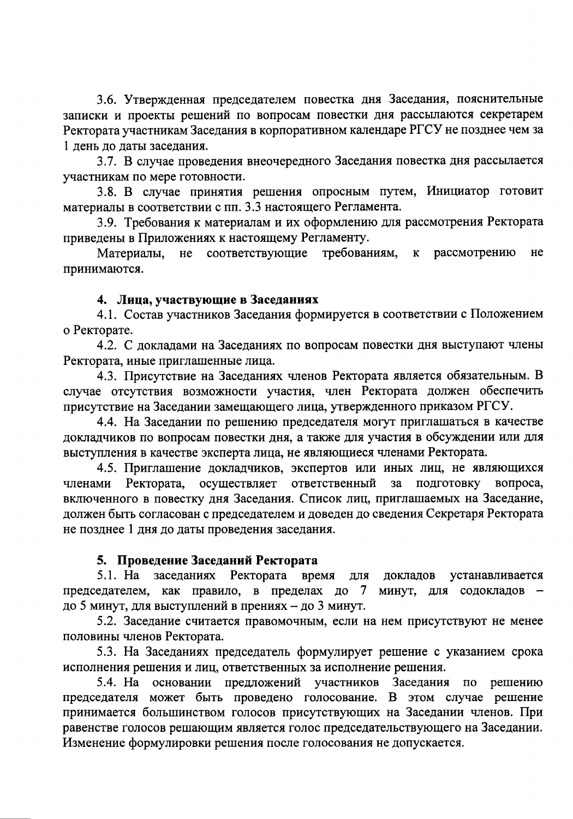3.6. Утвержденная председателем повестка дня Заседания, пояснительные записки и проекты решений по вопросам повестки дня рассылаются секретарем Ректората участникам Заседания в корпоративном календаре РГСУ не позднее чем за 1 день до даты заседания.

3.7. В случае проведения внеочередного Заседания повестка дня рассылается участникам по мере готовности.

3.8. В случае принятия решения опросным путем, Инициатор готовит материалы в соответствии с пп. 3.3 настоящего Регламента.

3.9. Требования к материалам и их оформлению для рассмотрения Ректората приведены в Приложениях к настоящему Регламенту.

не соответствующие требованиям.  $\mathbf{K}$ рассмотрению Материалы, He принимаются.

## 4. Лица, участвующие в Заседаниях

4.1. Состав участников Заседания формируется в соответствии с Положением о Ректорате.

4.2. С докладами на Заседаниях по вопросам повестки дня выступают члены Ректората, иные приглашенные лица.

4.3. Присутствие на Заседаниях членов Ректората является обязательным. В случае отсутствия возможности участия, член Ректората должен обеспечить присутствие на Заседании замещающего лица, утвержденного приказом РГСУ.

4.4. На Заседании по решению председателя могут приглашаться в качестве докладчиков по вопросам повестки дня, а также для участия в обсуждении или для выступления в качестве эксперта лица, не являющиеся членами Ректората.

4.5. Приглашение докладчиков, экспертов или иных лиц, не являющихся ответственный подготовку вопроса. Ректората. осуществляет  $3a$ членами включенного в повестку дня Заседания. Список лиц, приглашаемых на Заседание, должен быть согласован с председателем и доведен до сведения Секретаря Ректората не позднее 1 дня до даты проведения заседания.

# 5. Проведение Заседаний Ректората

заседаниях Ректората 5.1. Ha время для докладов устанавливается председателем, как правило, в пределах до 7 минут, для содокладов до 5 минут, для выступлений в прениях - до 3 минут.

5.2. Заседание считается правомочным, если на нем присутствуют не менее половины членов Ректората.

5.3. На Заседаниях председатель формулирует решение с указанием срока исполнения решения и лиц, ответственных за исполнение решения.

5.4. На основании предложений участников Заседания по решению председателя может быть проведено голосование. В этом случае решение принимается большинством голосов присутствующих на Заседании членов. При равенстве голосов решающим является голос председательствующего на Заседании. Изменение формулировки решения после голосования не допускается.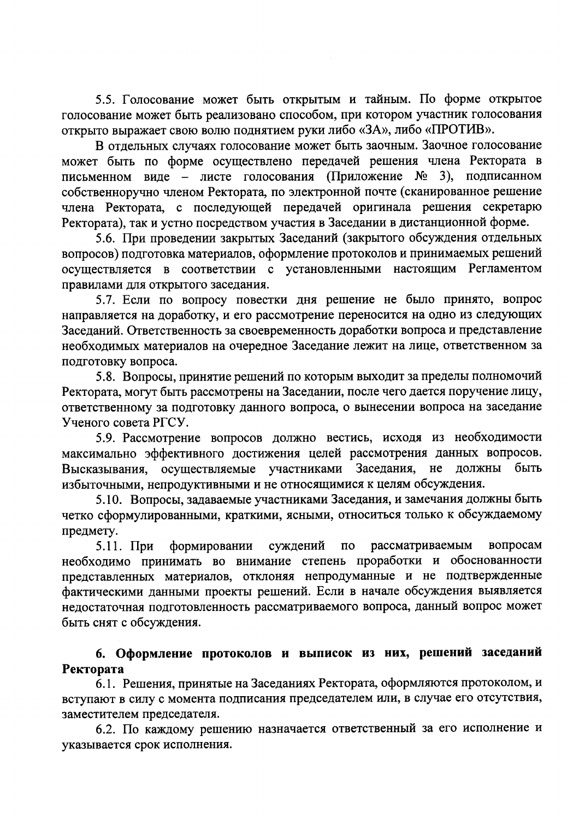5.5. Голосование может быть открытым и тайным. По форме открытое голосование может быть реализовано способом, при котором участник голосования открыто выражает свою волю поднятием руки либо «ЗА», либо «ПРОТИВ».

В отдельных случаях голосование может быть заочным. Заочное голосование может быть по форме осуществлено передачей решения члена Ректората в письменном виде - листе голосования (Приложение № 3), подписанном собственноручно членом Ректората, по электронной почте (сканированное решение члена Ректората, с последующей передачей оригинала решения секретарю Ректората), так и устно посредством участия в Заседании в дистанционной форме.

5.6. При проведении закрытых Заседаний (закрытого обсуждения отдельных вопросов) подготовка материалов, оформление протоколов и принимаемых решений осуществляется в соответствии с установленными настоящим Регламентом правилами для открытого заседания.

5.7. Если по вопросу повестки дня решение не было принято, вопрос направляется на доработку, и его рассмотрение переносится на одно из следующих Заседаний. Ответственность за своевременность доработки вопроса и представление необходимых материалов на очередное Заседание лежит на лице, ответственном за подготовку вопроса.

5.8. Вопросы, принятие решений по которым выходит за пределы полномочий Ректората, могут быть рассмотрены на Заседании, после чего дается поручение лицу, ответственному за подготовку данного вопроса, о вынесении вопроса на заседание Ученого совета РГСУ.

5.9. Рассмотрение вопросов должно вестись, исходя из необходимости максимально эффективного достижения целей рассмотрения данных вопросов. Высказывания, осуществляемые участниками Заседания, не должны быть избыточными, непродуктивными и не относящимися к целям обсуждения.

5.10. Вопросы, задаваемые участниками Заседания, и замечания должны быть четко сформулированными, краткими, ясными, относиться только к обсуждаемому предмету.

суждений рассматриваемым вопросам  $5.11.$  При формировании  $\overline{10}$ необходимо принимать во внимание степень проработки и обоснованности представленных материалов, отклоняя непродуманные и не подтвержденные фактическими данными проекты решений. Если в начале обсуждения выявляется недостаточная подготовленность рассматриваемого вопроса, данный вопрос может быть снят с обсуждения.

# 6. Оформление протоколов и выписок из них, решений заседаний Ректората

6.1. Решения, принятые на Заседаниях Ректората, оформляются протоколом, и вступают в силу с момента подписания председателем или, в случае его отсутствия, заместителем председателя.

6.2. По каждому решению назначается ответственный за его исполнение и указывается срок исполнения.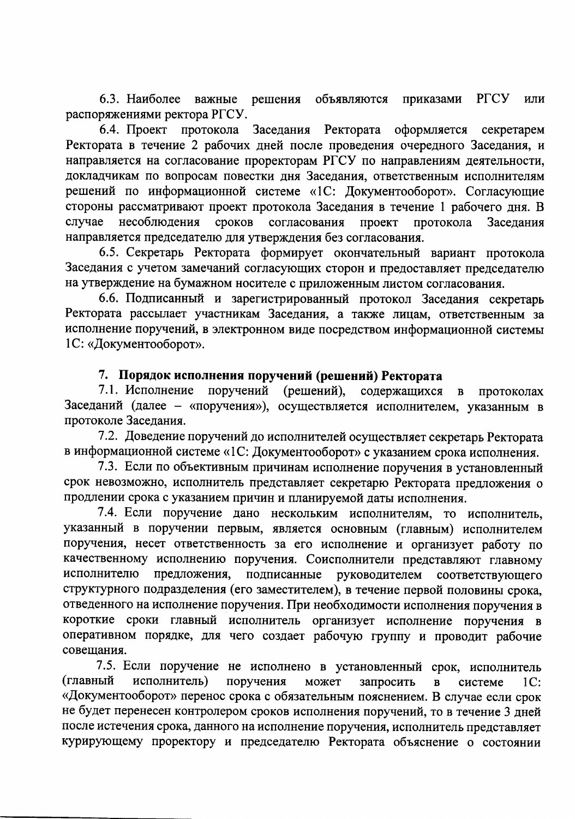6.3. Наиболее важные решения объявляются приказами РГСУ или распоряжениями ректора РГСУ.

6.4. Проект протокола Заседания Ректората оформляется секретарем Ректората в течение 2 рабочих дней после проведения очередного Заседания, и направляется на согласование проректорам РГСУ по направлениям деятельности, докладчикам по вопросам повестки дня Заседания, ответственным исполнителям решений по информационной системе «1С: Документооборот». Согласующие стороны рассматривают проект протокола Заседания в течение 1 рабочего дня. В случае несоблюдения сроков согласования проект протокола Заседания направляется председателю для утверждения без согласования.

6.5. Секретарь Ректората формирует окончательный вариант протокола Заседания с учетом замечаний согласующих сторон и предоставляет председателю на утверждение на бумажном носителе с приложенным листом согласования.

6.6. Подписанный и зарегистрированный протокол Заседания секретарь Ректората рассылает участникам Заседания, а также лицам, ответственным за исполнение поручений, в электронном виде посредством информационной системы 1С: «Документооборот».

### 7. Порядок исполнения поручений (решений) Ректората

7.1. Исполнение поручений (решений), содержащихся  $\, {\bf B}$ протоколах Заседаний (далее - «поручения»), осуществляется исполнителем, указанным в протоколе Заседания.

7.2. Доведение поручений до исполнителей осуществляет секретарь Ректората в информационной системе «1С: Документооборот» с указанием срока исполнения.

7.3. Если по объективным причинам исполнение поручения в установленный срок невозможно, исполнитель представляет секретарю Ректората предложения о продлении срока с указанием причин и планируемой даты исполнения.

7.4. Если поручение дано нескольким исполнителям, то исполнитель, указанный в поручении первым, является основным (главным) исполнителем поручения, несет ответственность за его исполнение и организует работу по качественному исполнению поручения. Соисполнители представляют главному исполнителю предложения, подписанные руководителем соответствующего структурного подразделения (его заместителем), в течение первой половины срока, отведенного на исполнение поручения. При необходимости исполнения поручения в короткие сроки главный исполнитель организует исполнение поручения в оперативном порядке, для чего создает рабочую группу и проводит рабочие совешания.

7.5. Если поручение не исполнено в установленный срок, исполнитель (главный исполнитель) поручения может запросить  $\overline{B}$ системе  $1C:$ «Документооборот» перенос срока с обязательным пояснением. В случае если срок не будет перенесен контролером сроков исполнения поручений, то в течение 3 дней после истечения срока, данного на исполнение поручения, исполнитель представляет курирующему проректору и председателю Ректората объяснение о состоянии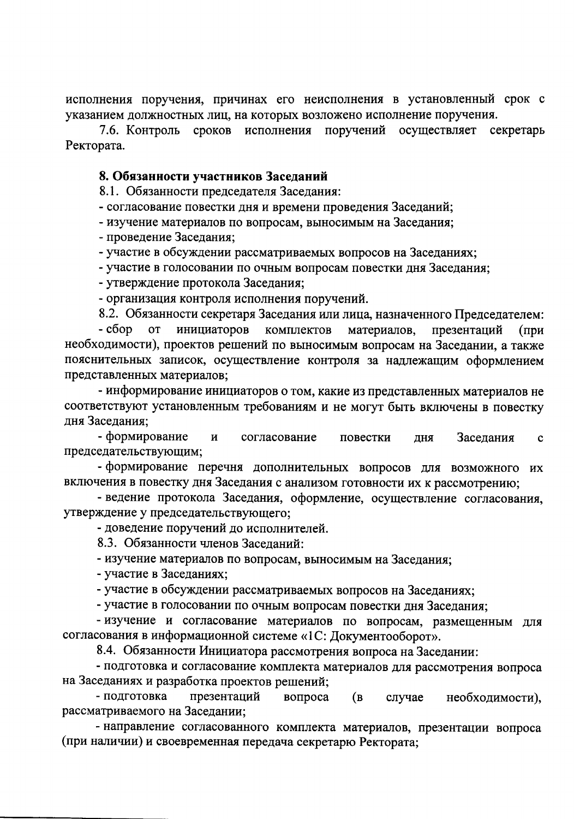исполнения поручения, причинах его неисполнения в установленный срок с указанием должностных лиц, на которых возложено исполнение поручения.

7.6. Контроль сроков исполнения поручений осуществляет секретарь Ректората.

### 8. Обязанности участников Заседаний

8.1. Обязанности председателя Заседания:

- согласование повестки дня и времени проведения Заседаний;

- изучение материалов по вопросам, выносимым на Заседания;

- проведение Заседания:

- участие в обсуждении рассматриваемых вопросов на Заседаниях;

- участие в голосовании по очным вопросам повестки дня Заседания;

- утверждение протокола Заседания;

- организация контроля исполнения поручений.

8.2. Обязанности секретаря Заседания или лица, назначенного Председателем:

 $-c6$ op **OT** инициаторов комплектов материалов, презентаций  $(np)$ необходимости), проектов решений по выносимым вопросам на Заседании, а также пояснительных записок, осуществление контроля за надлежащим оформлением представленных материалов;

- информирование инициаторов о том, какие из представленных материалов не соответствуют установленным требованиям и не могут быть включены в повестку дня Заседания;

- формирование  $\mathbf{M}$ согласование повестки дня Заседания  $\mathbf{c}$ председательствующим;

- формирование перечня дополнительных вопросов для возможного их включения в повестку дня Заседания с анализом готовности их к рассмотрению;

- ведение протокола Заседания, оформление, осуществление согласования, утверждение у председательствующего;

- доведение поручений до исполнителей.

8.3. Обязанности членов Заседаний:

- изучение материалов по вопросам, выносимым на Заседания;

- участие в Заседаниях;

- участие в обсуждении рассматриваемых вопросов на Заседаниях;

- участие в голосовании по очным вопросам повестки дня Заседания;

- изучение и согласование материалов по вопросам, размещенным для согласования в информационной системе «1С: Документооборот».

8.4. Обязанности Инициатора рассмотрения вопроса на Заседании:

- подготовка и согласование комплекта материалов для рассмотрения вопроса на Заседаниях и разработка проектов решений;

- подготовка презентаций вопроса (B случае необходимости), рассматриваемого на Заседании;

- направление согласованного комплекта материалов, презентации вопроса (при наличии) и своевременная передача секретарю Ректората;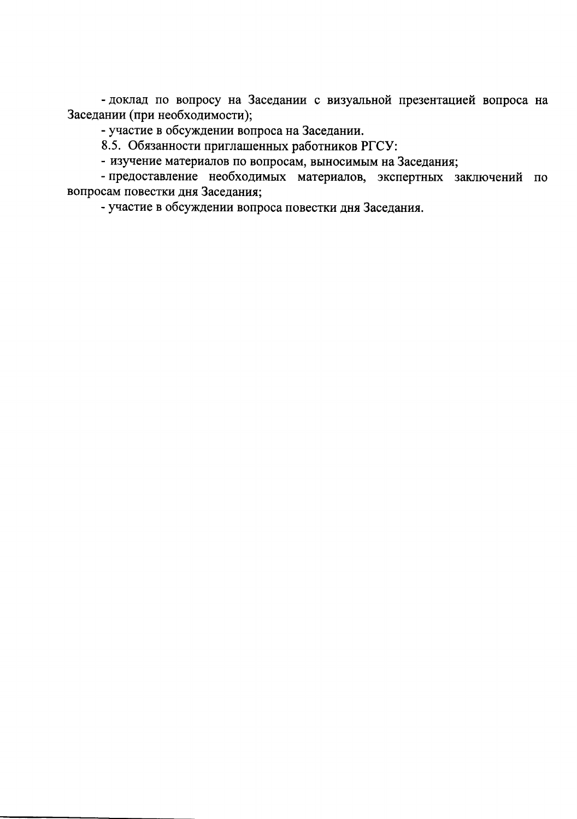- доклад по вопросу на Заседании с визуальной презентацией вопроса на Заседании (при необходимости);

- участие в обсуждении вопроса на Заседании.

8.5. Обязанности приглашенных работников РГСУ:

- изучение материалов по вопросам, выносимым на Заседания;

- предоставление необходимых материалов, экспертных заключений по вопросам повестки дня Заседания;

- участие в обсуждении вопроса повестки дня Заседания.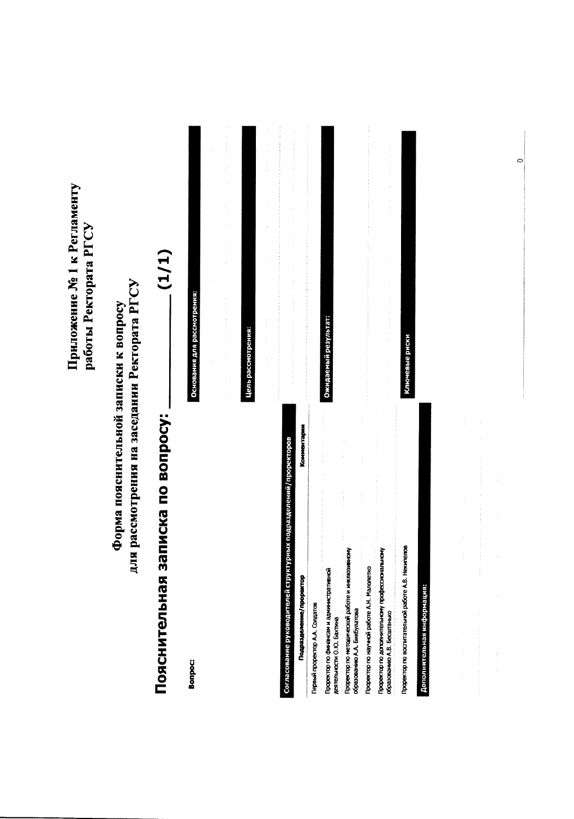Приложение № 1 к Регламенту работы Ректората РГСУ

для рассмотрения на заседании Ректората РГСУ Форма пояснительной записки к вопросу

| J<br>in and and and and a |
|---------------------------|
| <b>Titulier</b>           |
| i<br>I<br>Í               |
|                           |

| Bonpoc:                                                                                                                                                                                                                                                                                                 | Основания для рассмотрения:                                                                                                                                                                                                                           |
|---------------------------------------------------------------------------------------------------------------------------------------------------------------------------------------------------------------------------------------------------------------------------------------------------------|-------------------------------------------------------------------------------------------------------------------------------------------------------------------------------------------------------------------------------------------------------|
|                                                                                                                                                                                                                                                                                                         | $\ddot{\phantom{0}}$<br>j<br>$\ddot{\phantom{0}}$<br>$\frac{1}{2}$<br>$\frac{1}{2}$<br>$\ddot{\phantom{0}}$                                                                                                                                           |
|                                                                                                                                                                                                                                                                                                         | $\ddot{\phantom{0}}$<br>$\frac{1}{2}$<br>$\frac{1}{3}$<br>ł<br>ł<br>$\frac{1}{2}$<br>医水管中枢 医中枢性的 医中枢性的 医心脏的 医气管下的<br>$\frac{1}{2}$                                                                                                                    |
|                                                                                                                                                                                                                                                                                                         | Цель рассмотрения:                                                                                                                                                                                                                                    |
|                                                                                                                                                                                                                                                                                                         | $\ddot{\ddot{\cdot}}$<br>$\frac{1}{2}$<br>$\ddot{\phantom{a}}$<br>$\frac{1}{2}$<br>j<br>$\frac{1}{2}$<br>$\frac{1}{2}$<br>$\frac{1}{2}$<br>$\ddot{ }$                                                                                                 |
| грных подразделений/проректоров<br>Согласование руководителей структу                                                                                                                                                                                                                                   | the contract of the contract of the contract of the<br>$\ddot{\ddot{\ }}$<br>and the second company of the second<br>化对称 医内皮下的 医水杨酸 医水杨酸 医水杨酸盐 医阿尔特氏试验检胆汁 医阿尔特氏试验检胆汁<br>$\frac{1}{2}$<br>$\frac{1}{2}$<br>Î<br>$\ddot{\ddot{\cdot}}$<br>$\frac{1}{2}$ |
| Подразделение/проректор                                                                                                                                                                                                                                                                                 | 医单位交叉 医单位关节 医鼻骨关节 医异黄素 医单位不全体<br>人名维伦德 医牙齿变色 医胃炎 事件有关的 医水黄油 医水果 医异生素 医无生命 医马克里克氏反应 医血管胃 医异常的 医气管下流的 电人名<br>Комментарии                                                                                                                                |
| Первый проректор А.А. Солдатов                                                                                                                                                                                                                                                                          |                                                                                                                                                                                                                                                       |
| a componente de la componente de la componente de la componente de la componente de la componente de la componente de la componente de la componente de la componente de la componente de la componente de la componente de la<br>Проректор по финанкам и административной<br>деятельности О.Ю. Бахтина | Ожидаемый результат:                                                                                                                                                                                                                                  |
| Проректор по методической работе и инклюзивному<br>образованию А.А. Бикбулатова                                                                                                                                                                                                                         |                                                                                                                                                                                                                                                       |
| Проректор по научной работе А.Н. Малолетко                                                                                                                                                                                                                                                              | .<br>.<br>.<br>.<br>.<br>.<br>$\begin{array}{c} \begin{array}{c} \bullet \\ \bullet \\ \bullet \end{array} \end{array}$                                                                                                                               |
| .<br>Прорестор по дополнительному профессиональному<br>$\frac{1}{2}$<br>образованию А.В. Бесштанько                                                                                                                                                                                                     | í<br>医皮肤 医皮肤 医无子宫<br>ł<br>ł<br>$\frac{1}{2}$<br>and other company of the company of the company of the company of the company of<br>$\frac{1}{2}$<br>$\frac{1}{2}$<br>$\frac{1}{2}$<br>.                                                              |
| Проректор по воспитательной работе A.B. Некипелов                                                                                                                                                                                                                                                       | Ключевые риски                                                                                                                                                                                                                                        |
| Дополнительная информация:                                                                                                                                                                                                                                                                              |                                                                                                                                                                                                                                                       |
|                                                                                                                                                                                                                                                                                                         |                                                                                                                                                                                                                                                       |

 $\circ$ 

Ĵ

 $\frac{1}{2}$ 

 $\frac{1}{3}$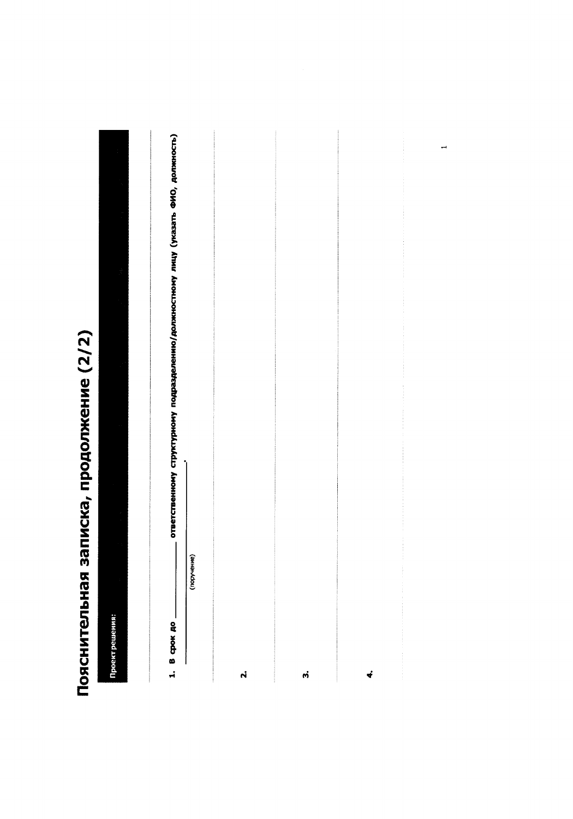# Пояснительная записка, продолжение (2/2)

|                | ответственному структурному подразделению/должностному лицу (указать ФИО, должность) |                    |           |                      |               |
|----------------|--------------------------------------------------------------------------------------|--------------------|-----------|----------------------|---------------|
|                |                                                                                      |                    |           |                      |               |
|                |                                                                                      |                    |           |                      |               |
|                |                                                                                      |                    |           |                      |               |
|                |                                                                                      |                    |           |                      |               |
|                |                                                                                      |                    |           |                      |               |
|                |                                                                                      |                    |           |                      |               |
|                |                                                                                      |                    |           |                      |               |
|                | Ī                                                                                    |                    |           |                      | $\frac{1}{2}$ |
|                |                                                                                      |                    |           |                      |               |
|                | (поручение)                                                                          |                    |           |                      |               |
|                |                                                                                      |                    |           |                      |               |
| Проектрешения: | $1.8$ cpox $p_0$                                                                     |                    |           |                      |               |
|                |                                                                                      | $\dot{\mathbf{r}}$ | $\vec{m}$ | $\ddot{\phantom{0}}$ |               |

 $\overline{\phantom{0}}$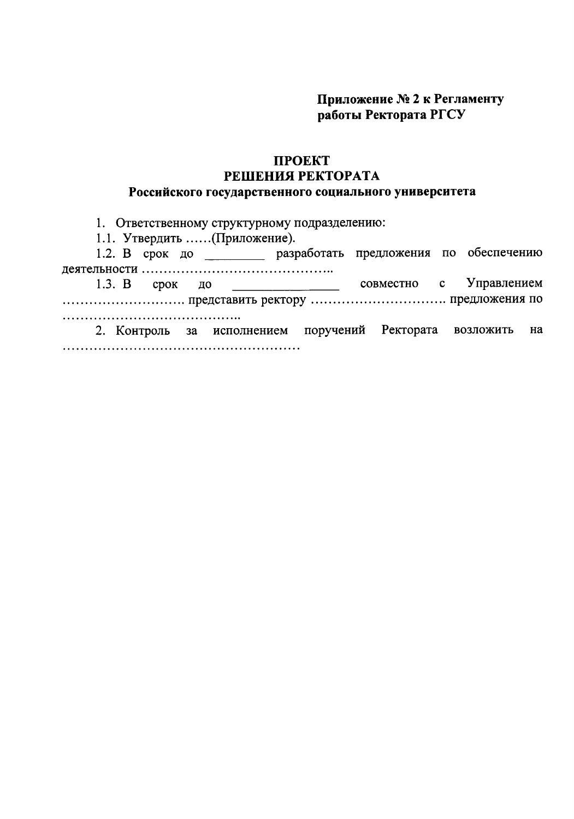Приложение № 2 к Регламенту работы Ректората РГСУ

### ПРОЕКТ РЕШЕНИЯ РЕКТОРАТА Российского государственного социального университета

1. Ответственному структурному подразделению:

1.1. Утвердить ...... (Приложение).

1.2. В срок до по разработать предложения по обеспечению 

Управлением совместно  $\mathbf{c}$  $1.3. B$ срок до  $\qquad \qquad$   $\qquad$   $\qquad$   $\qquad$   $\qquad$   $\qquad$   $\qquad$   $\qquad$   $\qquad$   $\qquad$   $\qquad$   $\qquad$   $\qquad$   $\qquad$   $\qquad$   $\qquad$   $\qquad$   $\qquad$   $\qquad$   $\qquad$   $\qquad$   $\qquad$   $\qquad$   $\qquad$   $\qquad$   $\qquad$   $\qquad$   $\qquad$   $\qquad$   $\qquad$   $\qquad$   $\qquad$   $\qquad$   $\qquad$   $\qquad$   $\qquad$ 2. Контроль за исполнением поручений Ректората возложить на